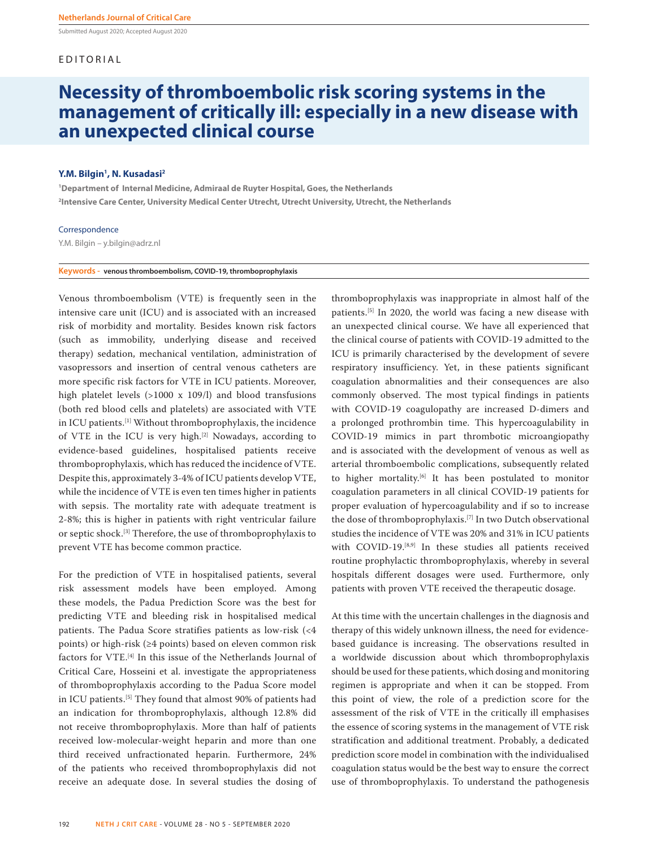Submitted August 2020; Accepted August 2020

# EDITORIAL

# **Necessity of thromboembolic risk scoring systems in the management of critically ill: especially in a new disease with an unexpected clinical course**

# **Y.M. Bilgin1 , N. Kusadasi2**

**1 Department of Internal Medicine, Admiraal de Ruyter Hospital, Goes, the Netherlands 2 Intensive Care Center, University Medical Center Utrecht, Utrecht University, Utrecht, the Netherlands**

## Correspondence

Y.M. Bilgin – y.bilgin@adrz.nl

### **Keywords - venous thromboembolism, COVID-19, thromboprophylaxis**

Venous thromboembolism (VTE) is frequently seen in the intensive care unit (ICU) and is associated with an increased risk of morbidity and mortality. Besides known risk factors (such as immobility, underlying disease and received therapy) sedation, mechanical ventilation, administration of vasopressors and insertion of central venous catheters are more specific risk factors for VTE in ICU patients. Moreover, high platelet levels (>1000 x 109/l) and blood transfusions (both red blood cells and platelets) are associated with VTE in ICU patients.[1] Without thromboprophylaxis, the incidence of VTE in the ICU is very high.[2] Nowadays, according to evidence-based guidelines, hospitalised patients receive thromboprophylaxis, which has reduced the incidence of VTE. Despite this, approximately 3-4% of ICU patients develop VTE, while the incidence of VTE is even ten times higher in patients with sepsis. The mortality rate with adequate treatment is 2-8%; this is higher in patients with right ventricular failure or septic shock.[3] Therefore, the use of thromboprophylaxis to prevent VTE has become common practice.

For the prediction of VTE in hospitalised patients, several risk assessment models have been employed. Among these models, the Padua Prediction Score was the best for predicting VTE and bleeding risk in hospitalised medical patients. The Padua Score stratifies patients as low-risk (<4 points) or high-risk (≥4 points) based on eleven common risk factors for VTE.[4] In this issue of the Netherlands Journal of Critical Care, Hosseini et al. investigate the appropriateness of thromboprophylaxis according to the Padua Score model in ICU patients.<sup>[5]</sup> They found that almost 90% of patients had an indication for thromboprophylaxis, although 12.8% did not receive thromboprophylaxis. More than half of patients received low-molecular-weight heparin and more than one third received unfractionated heparin. Furthermore, 24% of the patients who received thromboprophylaxis did not receive an adequate dose. In several studies the dosing of

thromboprophylaxis was inappropriate in almost half of the patients.[5] In 2020, the world was facing a new disease with an unexpected clinical course. We have all experienced that the clinical course of patients with COVID-19 admitted to the ICU is primarily characterised by the development of severe respiratory insufficiency. Yet, in these patients significant coagulation abnormalities and their consequences are also commonly observed. The most typical findings in patients with COVID-19 coagulopathy are increased D-dimers and a prolonged prothrombin time. This hypercoagulability in COVID-19 mimics in part thrombotic microangiopathy and is associated with the development of venous as well as arterial thromboembolic complications, subsequently related to higher mortality.<sup>[6]</sup> It has been postulated to monitor coagulation parameters in all clinical COVID-19 patients for proper evaluation of hypercoagulability and if so to increase the dose of thromboprophylaxis.[7] In two Dutch observational studies the incidence of VTE was 20% and 31% in ICU patients with COVID-19.<sup>[8,9]</sup> In these studies all patients received routine prophylactic thromboprophylaxis, whereby in several hospitals different dosages were used. Furthermore, only patients with proven VTE received the therapeutic dosage.

At this time with the uncertain challenges in the diagnosis and therapy of this widely unknown illness, the need for evidencebased guidance is increasing. The observations resulted in a worldwide discussion about which thromboprophylaxis should be used for these patients, which dosing and monitoring regimen is appropriate and when it can be stopped. From this point of view, the role of a prediction score for the assessment of the risk of VTE in the critically ill emphasises the essence of scoring systems in the management of VTE risk stratification and additional treatment. Probably, a dedicated prediction score model in combination with the individualised coagulation status would be the best way to ensure the correct use of thromboprophylaxis. To understand the pathogenesis